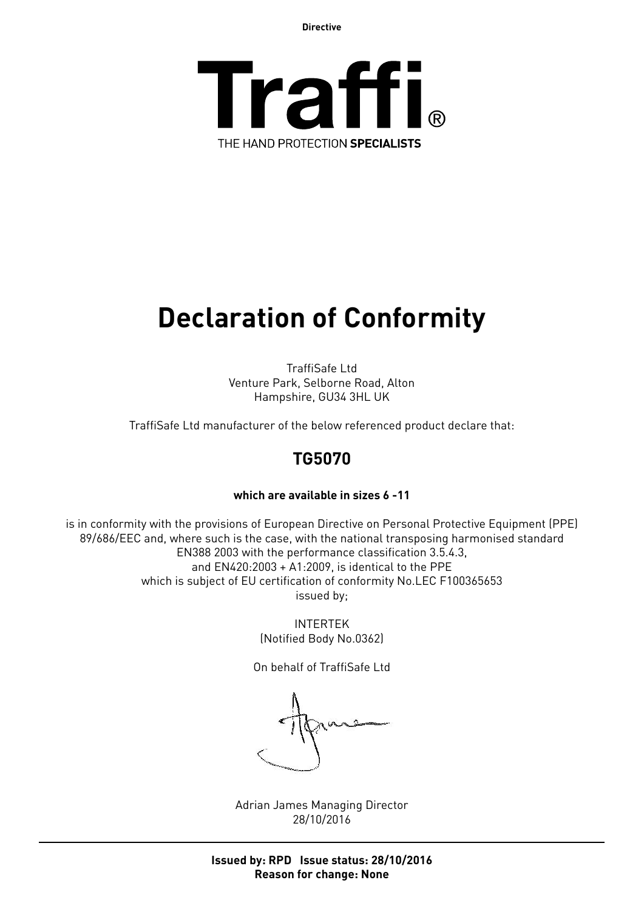**Directive**



# **Declaration of Conformity**

TraffiSafe Ltd Venture Park, Selborne Road, Alton Hampshire, GU34 3HL UK

TraffiSafe Ltd manufacturer of the below referenced product declare that:

## **TG5070**

#### **which are available in sizes 6 -11**

is in conformity with the provisions of European Directive on Personal Protective Equipment (PPE) 89/686/EEC and, where such is the case, with the national transposing harmonised standard EN388 2003 with the performance classification 3.5.4.3, and EN420:2003 + A1:2009, is identical to the PPE which is subject of EU certification of conformity No.LEC F100365653 issued by;

> INTERTEK (Notified Body No.0362)

On behalf of TraffiSafe Ltd

Adrian James Managing Director 28/10/2016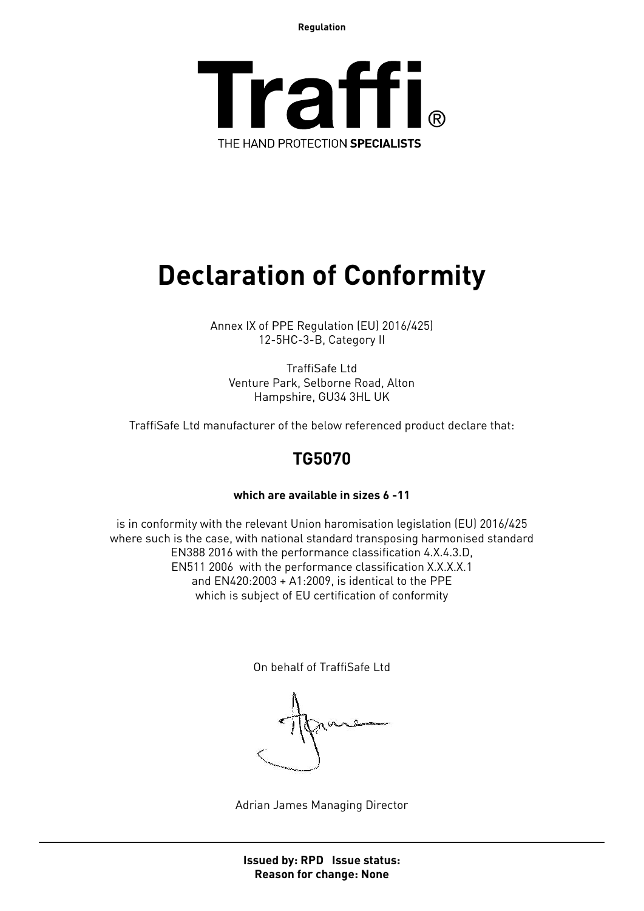**Regulation**



## **Declaration of Conformity**

Annex IX of PPE Regulation (EU) 2016/425) 12-5HC-3-B, Category II

TraffiSafe Ltd Venture Park, Selborne Road, Alton Hampshire, GU34 3HL UK

TraffiSafe Ltd manufacturer of the below referenced product declare that:

### **TG5070**

#### **which are available in sizes 6 -11**

is in conformity with the relevant Union haromisation legislation (EU) 2016/425 where such is the case, with national standard transposing harmonised standard EN388 2016 with the performance classification 4.X.4.3.D, EN511 2006 with the performance classification X.X.X.X.1 and EN420:2003 + A1:2009, is identical to the PPE which is subject of EU certification of conformity

On behalf of TraffiSafe Ltd

Adrian James Managing Director

**Issued by: RPD Issue status: Reason for change: None**